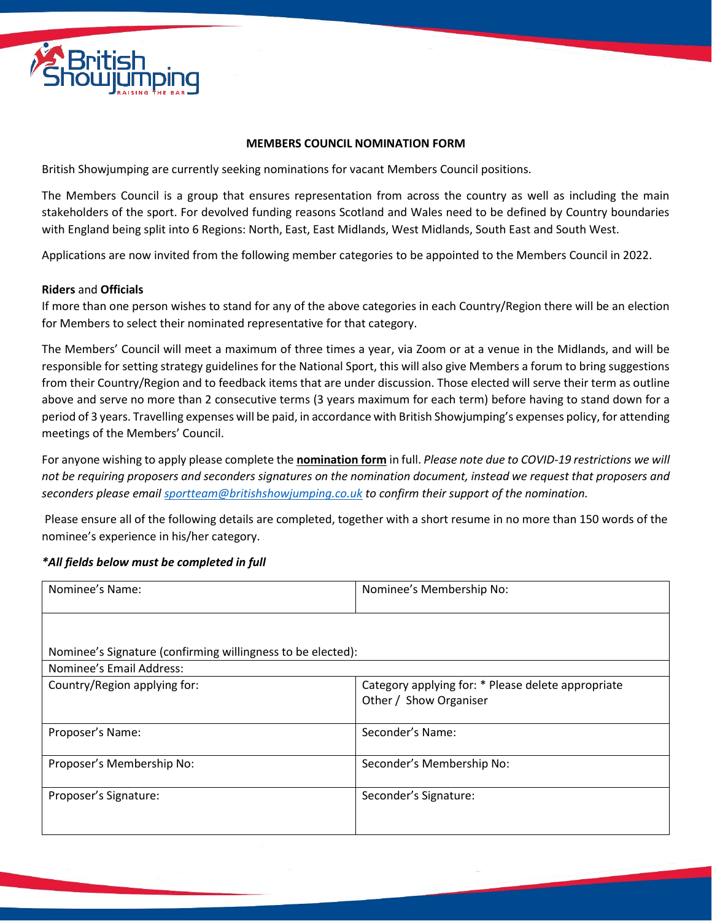

## **MEMBERS COUNCIL NOMINATION FORM**

British Showjumping are currently seeking nominations for vacant Members Council positions.

The Members Council is a group that ensures representation from across the country as well as including the main stakeholders of the sport. For devolved funding reasons Scotland and Wales need to be defined by Country boundaries with England being split into 6 Regions: North, East, East Midlands, West Midlands, South East and South West.

Applications are now invited from the following member categories to be appointed to the Members Council in 2022.

## **Riders** and **Officials**

If more than one person wishes to stand for any of the above categories in each Country/Region there will be an election for Members to select their nominated representative for that category.

The Members' Council will meet a maximum of three times a year, via Zoom or at a venue in the Midlands, and will be responsible for setting strategy guidelines for the National Sport, this will also give Members a forum to bring suggestions from their Country/Region and to feedback items that are under discussion. Those elected will serve their term as outline above and serve no more than 2 consecutive terms (3 years maximum for each term) before having to stand down for a period of 3 years. Travelling expenses will be paid, in accordance with British Showjumping's expenses policy, for attending meetings of the Members' Council.

For anyone wishing to apply please complete the **nomination form** in full. *Please note due to COVID-19 restrictions we will not be requiring proposers and seconders signatures on the nomination document, instead we request that proposers and seconders please email [sportteam@britishshowjumping.co.uk](mailto:sportteam@britishshowjumping.co.uk) to confirm their support of the nomination.*

Please ensure all of the following details are completed, together with a short resume in no more than 150 words of the nominee's experience in his/her category.

## *\*All fields below must be completed in full*

| Nominee's Name:                                             | Nominee's Membership No:                                                     |
|-------------------------------------------------------------|------------------------------------------------------------------------------|
|                                                             |                                                                              |
| Nominee's Signature (confirming willingness to be elected): |                                                                              |
| Nominee's Email Address:                                    |                                                                              |
| Country/Region applying for:                                | Category applying for: * Please delete appropriate<br>Other / Show Organiser |
| Proposer's Name:                                            | Seconder's Name:                                                             |
| Proposer's Membership No:                                   | Seconder's Membership No:                                                    |
| Proposer's Signature:                                       | Seconder's Signature:                                                        |